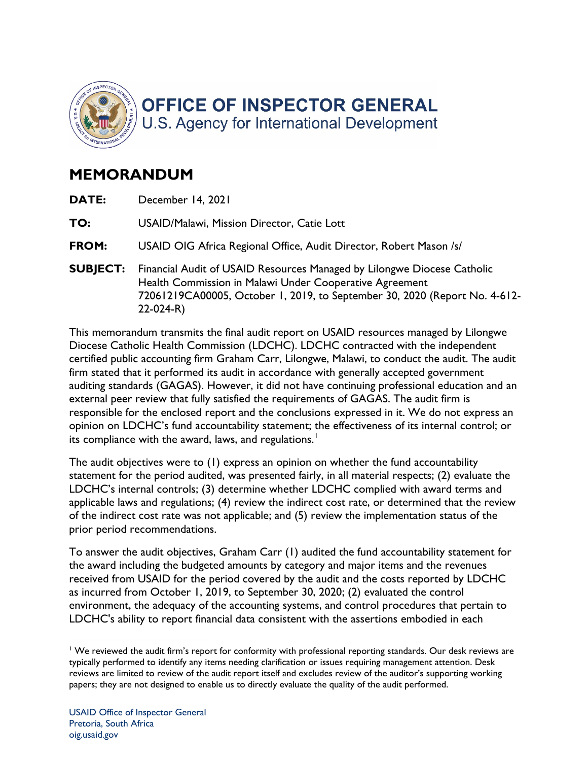

## **MEMORANDUM**

- **DATE:** December 14, 2021
- **TO:** USAID/Malawi, Mission Director, Catie Lott
- **FROM:** USAID OIG Africa Regional Office, Audit Director, Robert Mason /s/
- Health Commission in Malawi Under Cooperative Agreement **SUBJECT:** Financial Audit of USAID Resources Managed by Lilongwe Diocese Catholic 72061219CA00005, October 1, 2019, to September 30, 2020 (Report No. 4-612- 22-024-R)

 Diocese Catholic Health Commission (LDCHC). LDCHC contracted with the independent external peer review that fully satisfied the requirements of GAGAS. The audit firm is responsible for the enclosed report and the conclusions expressed in it. We do not express an This memorandum transmits the final audit report on USAID resources managed by Lilongwe certified public accounting firm Graham Carr, Lilongwe, Malawi, to conduct the audit. The audit firm stated that it performed its audit in accordance with generally accepted government auditing standards (GAGAS). However, it did not have continuing professional education and an opinion on LDCHC's fund accountability statement; the effectiveness of its internal control; or its compliance with the award, laws, and regulations.<sup>1</sup>

 of the indirect cost rate was not applicable; and (5) review the implementation status of the The audit objectives were to (1) express an opinion on whether the fund accountability statement for the period audited, was presented fairly, in all material respects; (2) evaluate the LDCHC's internal controls; (3) determine whether LDCHC complied with award terms and applicable laws and regulations; (4) review the indirect cost rate, or determined that the review prior period recommendations.

 received from USAID for the period covered by the audit and the costs reported by LDCHC as incurred from October 1, 2019, to September 30, 2020; (2) evaluated the control environment, the adequacy of the accounting systems, and control procedures that pertain to To answer the audit objectives, Graham Carr (1) audited the fund accountability statement for the award including the budgeted amounts by category and major items and the revenues LDCHC's ability to report financial data consistent with the assertions embodied in each

 $1$  We reviewed the audit firm's report for conformity with professional reporting standards. Our desk reviews are typically performed to identify any items needing clarification or issues requiring management attention. Desk reviews are limited to review of the audit report itself and excludes review of the auditor's supporting working papers; they are not designed to enable us to directly evaluate the quality of the audit performed.